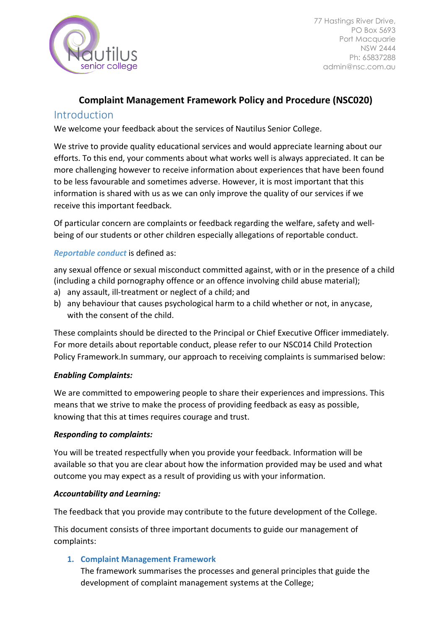

# **Complaint Management Framework Policy and Procedure (NSC020)**

# Introduction

We welcome your feedback about the services of Nautilus Senior College.

We strive to provide quality educational services and would appreciate learning about our efforts. To this end, your comments about what works well is always appreciated. It can be more challenging however to receive information about experiences that have been found to be less favourable and sometimes adverse. However, it is most important that this information is shared with us as we can only improve the quality of our services if we receive this important feedback.

Of particular concern are complaints or feedback regarding the welfare, safety and wellbeing of our students or other children especially allegations of reportable conduct.

# *Reportable conduct* is defined as:

any sexual offence or sexual misconduct committed against, with or in the presence of a child (including a child pornography offence or an offence involving child abuse material);

- a) any assault, ill-treatment or neglect of a child; and
- b) any behaviour that causes psychological harm to a child whether or not, in anycase, with the consent of the child.

These complaints should be directed to the Principal or Chief Executive Officer immediately. For more details about reportable conduct, please refer to our NSC014 Child Protection Policy Framework.In summary, our approach to receiving complaints is summarised below:

# *Enabling Complaints:*

We are committed to empowering people to share their experiences and impressions. This means that we strive to make the process of providing feedback as easy as possible, knowing that this at times requires courage and trust.

# *Responding to complaints:*

You will be treated respectfully when you provide your feedback. Information will be available so that you are clear about how the information provided may be used and what outcome you may expect as a result of providing us with your information.

# *Accountability and Learning:*

The feedback that you provide may contribute to the future development of the College.

This document consists of three important documents to guide our management of complaints:

# **1. Complaint Management Framework**

The framework summarises the processes and general principles that guide the development of complaint management systems at the College;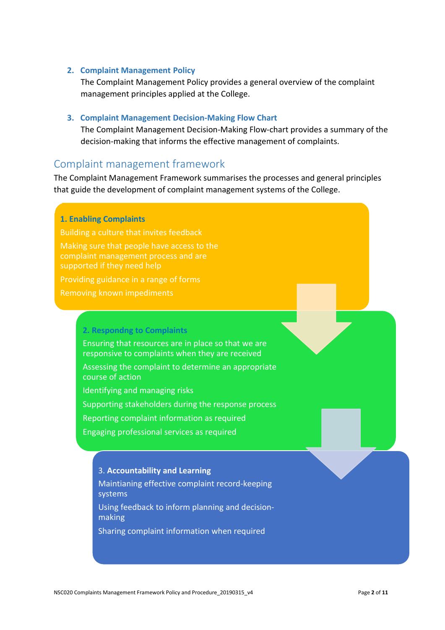#### **2. Complaint Management Policy**

The Complaint Management Policy provides a general overview of the complaint management principles applied at the College.

#### **3. Complaint Management Decision-Making Flow Chart**

The Complaint Management Decision-Making Flow-chart provides a summary of the decision-making that informs the effective management of complaints.

# Complaint management framework

The Complaint Management Framework summarises the processes and general principles that guide the development of complaint management systems of the College.

#### **1. Enabling Complaints**

Building a culture that invites feedback

Making sure that people have access to the complaint management process and are supported if they need help

Providing guidance in a range of forms

Removing known impediments

#### **2. Respondng to Complaints**

Ensuring that resources are in place so that we are responsive to complaints when they are received

Assessing the complaint to determine an appropriate course of action

Identifying and managing risks

Supporting stakeholders during the response process

Reporting complaint information as required

Engaging professional services as required

### 3. **Accountability and Learning**

Maintianing effective complaint record-keeping systems

Using feedback to inform planning and decisionmaking

Sharing complaint information when required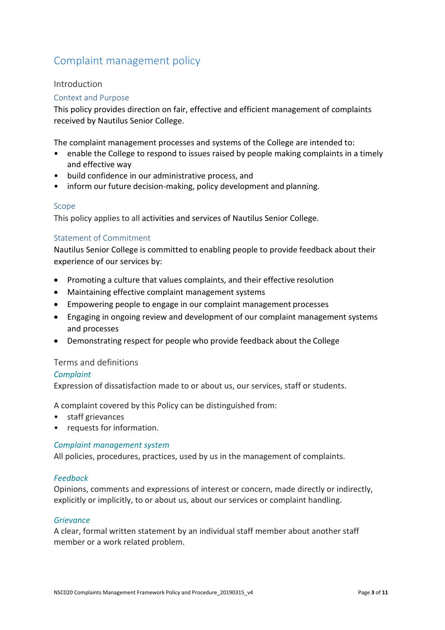# Complaint management policy

## Introduction

### Context and Purpose

This policy provides direction on fair, effective and efficient management of complaints received by Nautilus Senior College.

The complaint management processes and systems of the College are intended to:

- enable the College to respond to issues raised by people making complaints in a timely and effective way
- build confidence in our administrative process, and
- inform our future decision-making, policy development and planning.

#### Scope

This policy applies to all activities and services of Nautilus Senior College.

#### Statement of Commitment

Nautilus Senior College is committed to enabling people to provide feedback about their experience of our services by:

- Promoting a culture that values complaints, and their effective resolution
- Maintaining effective complaint management systems
- Empowering people to engage in our complaint management processes
- Engaging in ongoing review and development of our complaint management systems and processes
- Demonstrating respect for people who provide feedback about the College

#### Terms and definitions

#### *Complaint*

Expression of dissatisfaction made to or about us, our services, staff or students.

A complaint covered by this Policy can be distinguished from:

- staff grievances
- requests for information.

#### *Complaint management system*

All policies, procedures, practices, used by us in the management of complaints.

#### *Feedback*

Opinions, comments and expressions of interest or concern, made directly or indirectly, explicitly or implicitly, to or about us, about our services or complaint handling.

#### *Grievance*

A clear, formal written statement by an individual staff member about another staff member or a work related problem.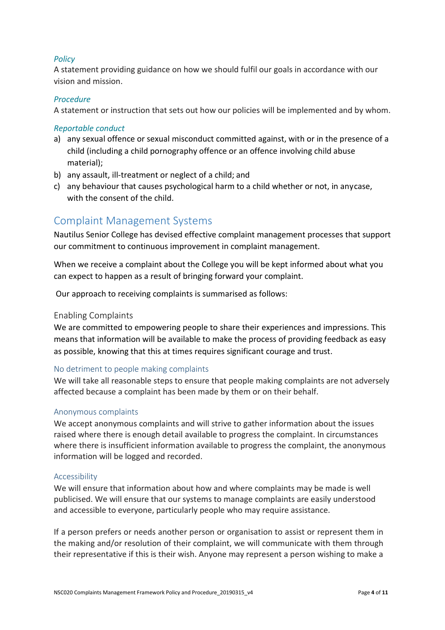## *Policy*

A statement providing guidance on how we should fulfil our goals in accordance with our vision and mission.

## *Procedure*

A statement or instruction that sets out how our policies will be implemented and by whom.

## *Reportable conduct*

- a) any sexual offence or sexual misconduct committed against, with or in the presence of a child (including a child pornography offence or an offence involving child abuse material);
- b) any assault, ill-treatment or neglect of a child; and
- c) any behaviour that causes psychological harm to a child whether or not, in anycase, with the consent of the child.

# Complaint Management Systems

Nautilus Senior College has devised effective complaint management processes that support our commitment to continuous improvement in complaint management.

When we receive a complaint about the College you will be kept informed about what you can expect to happen as a result of bringing forward your complaint.

Our approach to receiving complaints is summarised as follows:

## Enabling Complaints

We are committed to empowering people to share their experiences and impressions. This means that information will be available to make the process of providing feedback as easy as possible, knowing that this at times requires significant courage and trust.

## No detriment to people making complaints

We will take all reasonable steps to ensure that people making complaints are not adversely affected because a complaint has been made by them or on their behalf.

## Anonymous complaints

We accept anonymous complaints and will strive to gather information about the issues raised where there is enough detail available to progress the complaint. In circumstances where there is insufficient information available to progress the complaint, the anonymous information will be logged and recorded.

## Accessibility

We will ensure that information about how and where complaints may be made is well publicised. We will ensure that our systems to manage complaints are easily understood and accessible to everyone, particularly people who may require assistance.

If a person prefers or needs another person or organisation to assist or represent them in the making and/or resolution of their complaint, we will communicate with them through their representative if this is their wish. Anyone may represent a person wishing to make a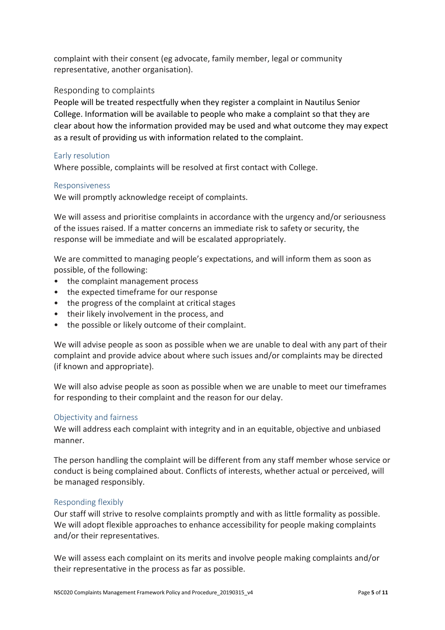complaint with their consent (eg advocate, family member, legal or community representative, another organisation).

# Responding to complaints

People will be treated respectfully when they register a complaint in Nautilus Senior College. Information will be available to people who make a complaint so that they are clear about how the information provided may be used and what outcome they may expect as a result of providing us with information related to the complaint.

## Early resolution

Where possible, complaints will be resolved at first contact with College.

#### Responsiveness

We will promptly acknowledge receipt of complaints.

We will assess and prioritise complaints in accordance with the urgency and/or seriousness of the issues raised. If a matter concerns an immediate risk to safety or security, the response will be immediate and will be escalated appropriately.

We are committed to managing people's expectations, and will inform them as soon as possible, of the following:

- the complaint management process
- the expected timeframe for our response
- the progress of the complaint at critical stages
- their likely involvement in the process, and
- the possible or likely outcome of their complaint.

We will advise people as soon as possible when we are unable to deal with any part of their complaint and provide advice about where such issues and/or complaints may be directed (if known and appropriate).

We will also advise people as soon as possible when we are unable to meet our timeframes for responding to their complaint and the reason for our delay.

## Objectivity and fairness

We will address each complaint with integrity and in an equitable, objective and unbiased manner.

The person handling the complaint will be different from any staff member whose service or conduct is being complained about. Conflicts of interests, whether actual or perceived, will be managed responsibly.

#### Responding flexibly

Our staff will strive to resolve complaints promptly and with as little formality as possible. We will adopt flexible approaches to enhance accessibility for people making complaints and/or their representatives.

We will assess each complaint on its merits and involve people making complaints and/or their representative in the process as far as possible.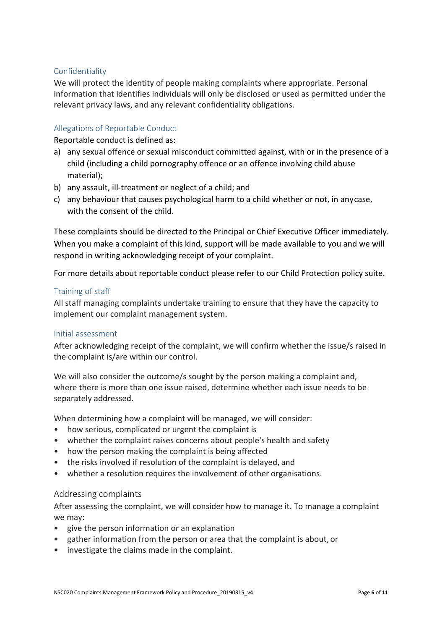## Confidentiality

We will protect the identity of people making complaints where appropriate. Personal information that identifies individuals will only be disclosed or used as permitted under the relevant privacy laws, and any relevant confidentiality obligations.

### Allegations of Reportable Conduct

Reportable conduct is defined as:

- a) any sexual offence or sexual misconduct committed against, with or in the presence of a child (including a child pornography offence or an offence involving child abuse material);
- b) any assault, ill-treatment or neglect of a child; and
- c) any behaviour that causes psychological harm to a child whether or not, in anycase, with the consent of the child.

These complaints should be directed to the Principal or Chief Executive Officer immediately. When you make a complaint of this kind, support will be made available to you and we will respond in writing acknowledging receipt of your complaint.

For more details about reportable conduct please refer to our Child Protection policy suite.

#### Training of staff

All staff managing complaints undertake training to ensure that they have the capacity to implement our complaint management system.

#### Initial assessment

After acknowledging receipt of the complaint, we will confirm whether the issue/s raised in the complaint is/are within our control.

We will also consider the outcome/s sought by the person making a complaint and, where there is more than one issue raised, determine whether each issue needs to be separately addressed.

When determining how a complaint will be managed, we will consider:

- how serious, complicated or urgent the complaint is
- whether the complaint raises concerns about people's health and safety
- how the person making the complaint is being affected
- the risks involved if resolution of the complaint is delayed, and
- whether a resolution requires the involvement of other organisations.

#### Addressing complaints

After assessing the complaint, we will consider how to manage it. To manage a complaint we may:

- give the person information or an explanation
- gather information from the person or area that the complaint is about, or
- investigate the claims made in the complaint.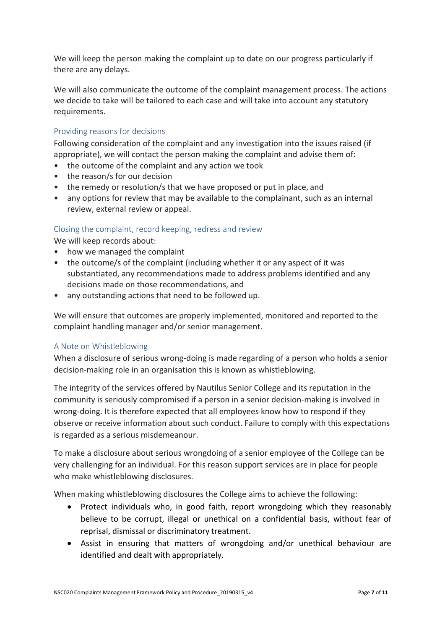We will keep the person making the complaint up to date on our progress particularly if there are any delays.

We will also communicate the outcome of the complaint management process. The actions we decide to take will be tailored to each case and will take into account any statutory requirements.

# Providing reasons for decisions

Following consideration of the complaint and any investigation into the issues raised (if appropriate), we will contact the person making the complaint and advise them of:

- the outcome of the complaint and any action we took
- the reason/s for our decision
- the remedy or resolution/s that we have proposed or put in place, and
- any options for review that may be available to the complainant, such as an internal review, external review or appeal.

## Closing the complaint, record keeping, redress and review

We will keep records about:

- how we managed the complaint
- the outcome/s of the complaint (including whether it or any aspect of it was substantiated, any recommendations made to address problems identified and any decisions made on those recommendations, and
- any outstanding actions that need to be followed up.

We will ensure that outcomes are properly implemented, monitored and reported to the complaint handling manager and/or senior management.

## A Note on Whistleblowing

When a disclosure of serious wrong-doing is made regarding of a person who holds a senior decision-making role in an organisation this is known as whistleblowing.

The integrity of the services offered by Nautilus Senior College and its reputation in the community is seriously compromised if a person in a senior decision-making is involved in wrong-doing. It is therefore expected that all employees know how to respond if they observe or receive information about such conduct. Failure to comply with this expectations is regarded as a serious misdemeanour.

To make a disclosure about serious wrongdoing of a senior employee of the College can be very challenging for an individual. For this reason support services are in place for people who make whistleblowing disclosures.

When making whistleblowing disclosures the College aims to achieve the following:

- Protect individuals who, in good faith, report wrongdoing which they reasonably believe to be corrupt, illegal or unethical on a confidential basis, without fear of reprisal, dismissal or discriminatory treatment.
- Assist in ensuring that matters of wrongdoing and/or unethical behaviour are identified and dealt with appropriately.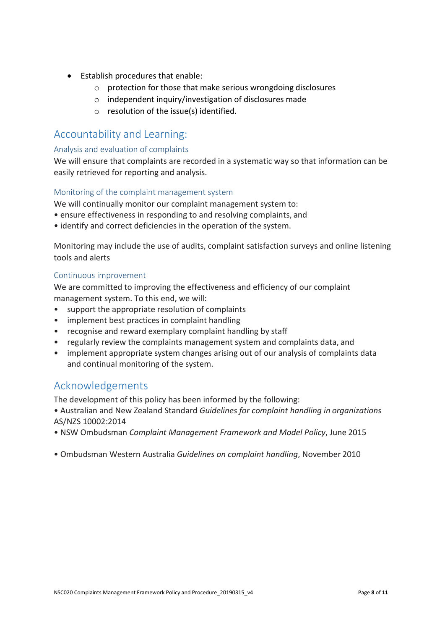- Establish procedures that enable:
	- o protection for those that make serious wrongdoing disclosures
	- o independent inquiry/investigation of disclosures made
	- o resolution of the issue(s) identified.

# Accountability and Learning:

## Analysis and evaluation of complaints

We will ensure that complaints are recorded in a systematic way so that information can be easily retrieved for reporting and analysis.

## Monitoring of the complaint management system

We will continually monitor our complaint management system to:

- ensure effectiveness in responding to and resolving complaints, and
- identify and correct deficiencies in the operation of the system.

Monitoring may include the use of audits, complaint satisfaction surveys and online listening tools and alerts

## Continuous improvement

We are committed to improving the effectiveness and efficiency of our complaint management system. To this end, we will:

- support the appropriate resolution of complaints
- implement best practices in complaint handling
- recognise and reward exemplary complaint handling by staff
- regularly review the complaints management system and complaints data, and
- implement appropriate system changes arising out of our analysis of complaints data and continual monitoring of the system.

# Acknowledgements

The development of this policy has been informed by the following:

- Australian and New Zealand Standard *Guidelines for complaint handling in organizations* AS/NZS 10002:2014
- NSW Ombudsman *Complaint Management Framework and Model Policy*, June 2015
- Ombudsman Western Australia *Guidelines on complaint handling*, November 2010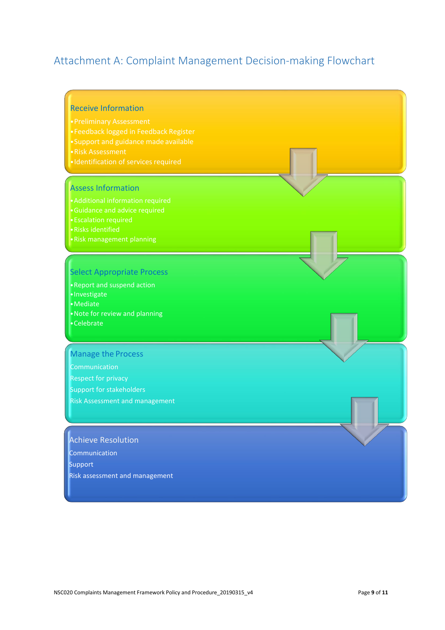# Attachment A: Complaint Management Decision-making Flowchart

#### Receive Information

- 
- 
- 
- 
- 

#### Assess Information

- •Guidance and advice required
- •Escalation required
- •Risks identified
- •Risk management planning

## Select Appropriate Process

•Report and suspend action •Investigate •Mediate •Note for review and planning •Celebrate

#### Manage the Process

**Communication** Respect for privacy Support for stakeholders Risk Assessment and management

# Achieve Resolution

Communication

Support

Risk assessment and management